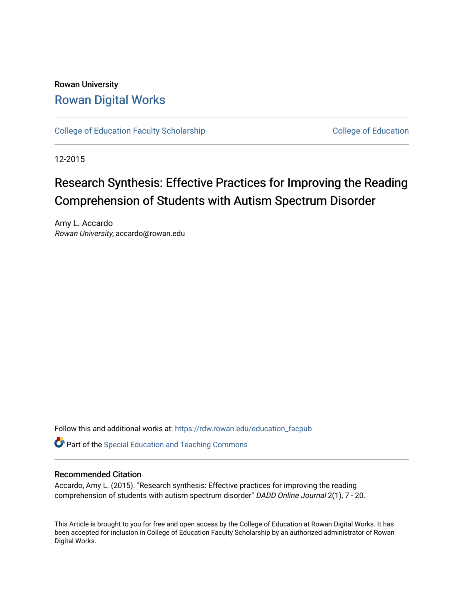# Rowan University [Rowan Digital Works](https://rdw.rowan.edu/)

[College of Education Faculty Scholarship](https://rdw.rowan.edu/education_facpub) [College of Education](https://rdw.rowan.edu/education) College of Education

12-2015

# Research Synthesis: Effective Practices for Improving the Reading Comprehension of Students with Autism Spectrum Disorder

Amy L. Accardo Rowan University, accardo@rowan.edu

Follow this and additional works at: [https://rdw.rowan.edu/education\\_facpub](https://rdw.rowan.edu/education_facpub?utm_source=rdw.rowan.edu%2Feducation_facpub%2F6&utm_medium=PDF&utm_campaign=PDFCoverPages) 

Part of the [Special Education and Teaching Commons](http://network.bepress.com/hgg/discipline/801?utm_source=rdw.rowan.edu%2Feducation_facpub%2F6&utm_medium=PDF&utm_campaign=PDFCoverPages) 

#### Recommended Citation

Accardo, Amy L. (2015). "Research synthesis: Effective practices for improving the reading comprehension of students with autism spectrum disorder" DADD Online Journal 2(1), 7 - 20.

This Article is brought to you for free and open access by the College of Education at Rowan Digital Works. It has been accepted for inclusion in College of Education Faculty Scholarship by an authorized administrator of Rowan Digital Works.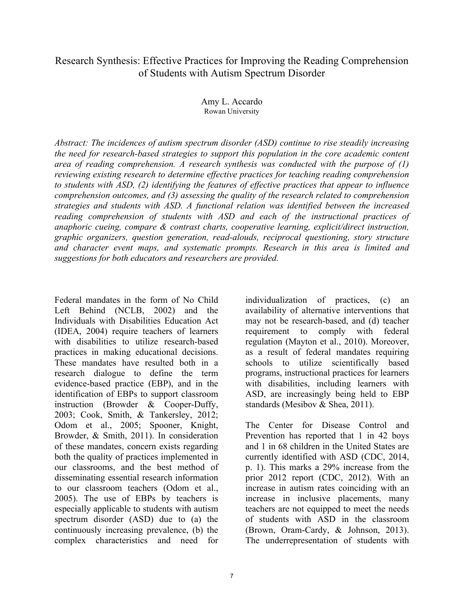# Research Synthesis: Effective Practices for Improving the Reading Comprehension of Students with Autism Spectrum Disorder

Amy L. Accardo Rowan University

*Abstract: The incidences of autism spectrum disorder (ASD) continue to rise steadily increasing the need for research-based strategies to support this population in the core academic content area of reading comprehension. A research synthesis was conducted with the purpose of (1) reviewing existing research to determine effective practices for teaching reading comprehension to students with ASD, (2) identifying the features of effective practices that appear to influence comprehension outcomes, and (3) assessing the quality of the research related to comprehension strategies and students with ASD. A functional relation was identified between the increased reading comprehension of students with ASD and each of the instructional practices of anaphoric cueing, compare & contrast charts, cooperative learning, explicit/direct instruction, graphic organizers, question generation, read-alouds, reciprocal questioning, story structure and character event maps, and systematic prompts. Research in this area is limited and suggestions for both educators and researchers are provided.* 

Federal mandates in the form of No Child Left Behind (NCLB, 2002) and the Individuals with Disabilities Education Act (IDEA, 2004) require teachers of learners with disabilities to utilize research-based practices in making educational decisions. These mandates have resulted both in a research dialogue to define the term evidence-based practice (EBP), and in the identification of EBPs to support classroom instruction (Browder & Cooper-Duffy, 2003; Cook, Smith, & Tankersley, 2012; Odom et al., 2005; Spooner, Knight, Browder, & Smith, 2011). In consideration of these mandates, concern exists regarding both the quality of practices implemented in our classrooms, and the best method of disseminating essential research information to our classroom teachers (Odom et al., 2005). The use of EBPs by teachers is especially applicable to students with autism spectrum disorder (ASD) due to (a) the continuously increasing prevalence, (b) the complex characteristics and need for

individualization of practices, (c) an availability of alternative interventions that may not be research-based, and (d) teacher requirement to comply with federal regulation (Mayton et al., 2010). Moreover, as a result of federal mandates requiring schools to utilize scientifically based programs, instructional practices for learners with disabilities, including learners with ASD, are increasingly being held to EBP standards (Mesibov & Shea, 2011).

The Center for Disease Control and Prevention has reported that 1 in 42 boys and 1 in 68 children in the United States are currently identified with ASD (CDC, 2014, p. 1). This marks a 29% increase from the prior 2012 report (CDC, 2012). With an increase in autism rates coinciding with an increase in inclusive placements, many teachers are not equipped to meet the needs of students with ASD in the classroom (Brown, Oram-Cardy, & Johnson, 2013). The underrepresentation of students with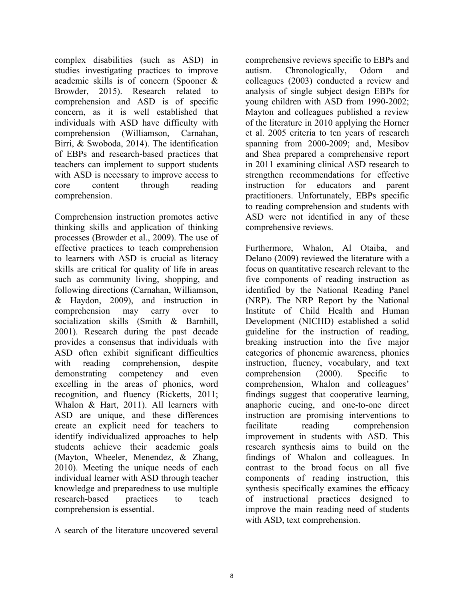complex disabilities (such as ASD) in studies investigating practices to improve academic skills is of concern (Spooner & Browder, 2015). Research related to comprehension and ASD is of specific concern, as it is well established that individuals with ASD have difficulty with comprehension (Williamson, Carnahan, Birri, & Swoboda, 2014). The identification of EBPs and research-based practices that teachers can implement to support students with ASD is necessary to improve access to core content through reading comprehension.

Comprehension instruction promotes active thinking skills and application of thinking processes (Browder et al., 2009). The use of effective practices to teach comprehension to learners with ASD is crucial as literacy skills are critical for quality of life in areas such as community living, shopping, and following directions (Carnahan, Williamson, & Haydon, 2009), and instruction in comprehension may carry over to socialization skills (Smith & Barnhill, 2001). Research during the past decade provides a consensus that individuals with ASD often exhibit significant difficulties with reading comprehension, despite demonstrating competency and even excelling in the areas of phonics, word recognition, and fluency (Ricketts, 2011; Whalon & Hart, 2011). All learners with ASD are unique, and these differences create an explicit need for teachers to identify individualized approaches to help students achieve their academic goals (Mayton, Wheeler, Menendez, & Zhang, 2010). Meeting the unique needs of each individual learner with ASD through teacher knowledge and preparedness to use multiple research-based practices to teach comprehension is essential.

A search of the literature uncovered several

comprehensive reviews specific to EBPs and autism. Chronologically, Odom and colleagues (2003) conducted a review and analysis of single subject design EBPs for young children with ASD from 1990-2002; Mayton and colleagues published a review of the literature in 2010 applying the Horner et al. 2005 criteria to ten years of research spanning from 2000-2009; and, Mesibov and Shea prepared a comprehensive report in 2011 examining clinical ASD research to strengthen recommendations for effective instruction for educators and parent practitioners. Unfortunately, EBPs specific to reading comprehension and students with ASD were not identified in any of these comprehensive reviews.

Furthermore, Whalon, Al Otaiba, and Delano (2009) reviewed the literature with a focus on quantitative research relevant to the five components of reading instruction as identified by the National Reading Panel (NRP). The NRP Report by the National Institute of Child Health and Human Development (NICHD) established a solid guideline for the instruction of reading, breaking instruction into the five major categories of phonemic awareness, phonics instruction, fluency, vocabulary, and text comprehension (2000). Specific to comprehension, Whalon and colleagues' findings suggest that cooperative learning, anaphoric cueing, and one-to-one direct instruction are promising interventions to facilitate reading comprehension improvement in students with ASD. This research synthesis aims to build on the findings of Whalon and colleagues. In contrast to the broad focus on all five components of reading instruction, this synthesis specifically examines the efficacy of instructional practices designed to improve the main reading need of students with ASD, text comprehension.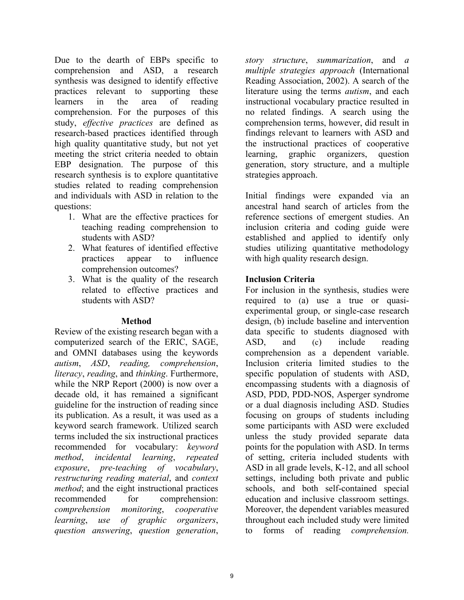Due to the dearth of EBPs specific to comprehension and ASD, a research synthesis was designed to identify effective practices relevant to supporting these learners in the area of reading comprehension. For the purposes of this study, *effective practices* are defined as research-based practices identified through high quality quantitative study, but not yet meeting the strict criteria needed to obtain EBP designation. The purpose of this research synthesis is to explore quantitative studies related to reading comprehension and individuals with ASD in relation to the questions:

- 1. What are the effective practices for teaching reading comprehension to students with ASD?
- 2. What features of identified effective practices appear to influence comprehension outcomes?
- 3. What is the quality of the research related to effective practices and students with ASD?

## **Method**

Review of the existing research began with a computerized search of the ERIC, SAGE, and OMNI databases using the keywords *autism*, *ASD*, *reading, comprehension*, *literacy*, *reading*, and *thinking*. Furthermore, while the NRP Report (2000) is now over a decade old, it has remained a significant guideline for the instruction of reading since its publication. As a result, it was used as a keyword search framework. Utilized search terms included the six instructional practices recommended for vocabulary: *keyword method*, *incidental learning*, *repeated exposure*, *pre-teaching of vocabulary*, *restructuring reading material*, and *context method*; and the eight instructional practices recommended for comprehension: *comprehension monitoring*, *cooperative learning*, *use of graphic organizers*, *question answering*, *question generation*,

*story structure*, *summarization*, and *a multiple strategies approach* (International Reading Association, 2002). A search of the literature using the terms *autism*, and each instructional vocabulary practice resulted in no related findings. A search using the comprehension terms, however, did result in findings relevant to learners with ASD and the instructional practices of cooperative learning, graphic organizers, question generation, story structure, and a multiple strategies approach.

Initial findings were expanded via an ancestral hand search of articles from the reference sections of emergent studies. An inclusion criteria and coding guide were established and applied to identify only studies utilizing quantitative methodology with high quality research design.

# **Inclusion Criteria**

For inclusion in the synthesis, studies were required to (a) use a true or quasiexperimental group, or single-case research design, (b) include baseline and intervention data specific to students diagnosed with ASD, and (c) include reading comprehension as a dependent variable. Inclusion criteria limited studies to the specific population of students with ASD, encompassing students with a diagnosis of ASD, PDD, PDD-NOS, Asperger syndrome or a dual diagnosis including ASD. Studies focusing on groups of students including some participants with ASD were excluded unless the study provided separate data points for the population with ASD. In terms of setting, criteria included students with ASD in all grade levels, K-12, and all school settings, including both private and public schools, and both self-contained special education and inclusive classroom settings. Moreover, the dependent variables measured throughout each included study were limited to forms of reading *comprehension.*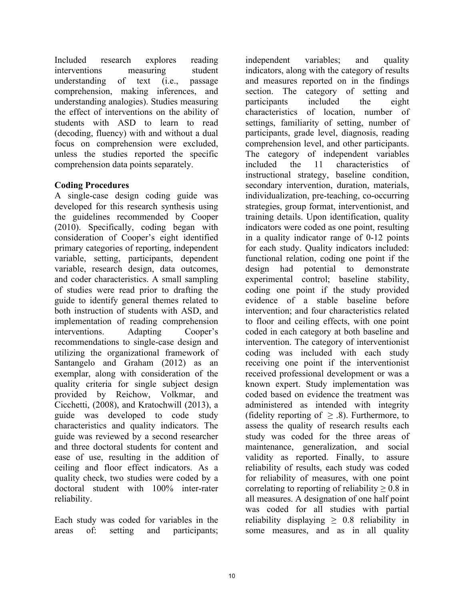Included research explores reading interventions measuring student understanding of text (i.e., passage comprehension, making inferences, and understanding analogies). Studies measuring the effect of interventions on the ability of students with ASD to learn to read (decoding, fluency) with and without a dual focus on comprehension were excluded, unless the studies reported the specific comprehension data points separately.

# **Coding Procedures**

A single-case design coding guide was developed for this research synthesis using the guidelines recommended by Cooper (2010). Specifically, coding began with consideration of Cooper's eight identified primary categories of reporting, independent variable, setting, participants, dependent variable, research design, data outcomes, and coder characteristics. A small sampling of studies were read prior to drafting the guide to identify general themes related to both instruction of students with ASD, and implementation of reading comprehension interventions. Adapting Cooper's recommendations to single-case design and utilizing the organizational framework of Santangelo and Graham (2012) as an exemplar, along with consideration of the quality criteria for single subject design provided by Reichow, Volkmar, and Cicchetti, (2008), and Kratochwill (2013), a guide was developed to code study characteristics and quality indicators. The guide was reviewed by a second researcher and three doctoral students for content and ease of use, resulting in the addition of ceiling and floor effect indicators. As a quality check, two studies were coded by a doctoral student with 100% inter-rater reliability.

Each study was coded for variables in the areas of: setting and participants;

independent variables; and quality indicators, along with the category of results and measures reported on in the findings section. The category of setting and participants included the eight characteristics of location, number of settings, familiarity of setting, number of participants, grade level, diagnosis, reading comprehension level, and other participants. The category of independent variables included the 11 characteristics of instructional strategy, baseline condition, secondary intervention, duration, materials, individualization, pre-teaching, co-occurring strategies, group format, interventionist, and training details. Upon identification, quality indicators were coded as one point, resulting in a quality indicator range of 0-12 points for each study. Quality indicators included: functional relation, coding one point if the design had potential to demonstrate experimental control; baseline stability, coding one point if the study provided evidence of a stable baseline before intervention; and four characteristics related to floor and ceiling effects, with one point coded in each category at both baseline and intervention. The category of interventionist coding was included with each study receiving one point if the interventionist received professional development or was a known expert. Study implementation was coded based on evidence the treatment was administered as intended with integrity (fidelity reporting of  $\geq$  .8). Furthermore, to assess the quality of research results each study was coded for the three areas of maintenance, generalization, and social validity as reported. Finally, to assure reliability of results, each study was coded for reliability of measures, with one point correlating to reporting of reliability  $\geq 0.8$  in all measures. A designation of one half point was coded for all studies with partial reliability displaying  $\geq 0.8$  reliability in some measures, and as in all quality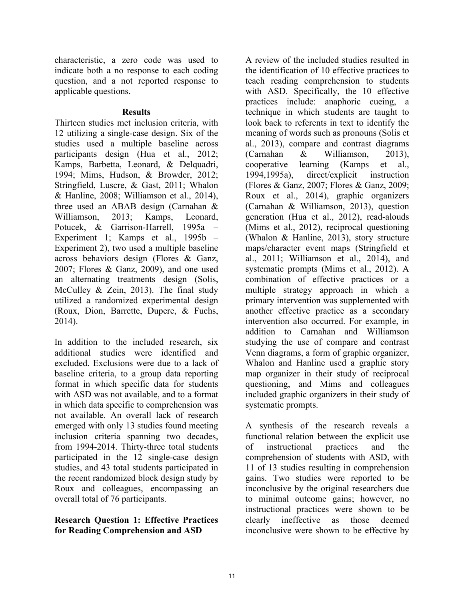characteristic, a zero code was used to indicate both a no response to each coding question, and a not reported response to applicable questions.

#### **Results**

Thirteen studies met inclusion criteria, with 12 utilizing a single-case design. Six of the studies used a multiple baseline across participants design (Hua et al., 2012; Kamps, Barbetta, Leonard, & Delquadri, 1994; Mims, Hudson, & Browder, 2012; Stringfield, Luscre, & Gast, 2011; Whalon & Hanline, 2008; Williamson et al., 2014), three used an ABAB design (Carnahan & Williamson, 2013; Kamps, Leonard, Potucek, & Garrison-Harrell, 1995a – Experiment 1; Kamps et al., 1995b – Experiment 2), two used a multiple baseline across behaviors design (Flores & Ganz, 2007; Flores & Ganz, 2009), and one used an alternating treatments design (Solis, McCulley & Zein, 2013). The final study utilized a randomized experimental design (Roux, Dion, Barrette, Dupere, & Fuchs, 2014).

In addition to the included research, six additional studies were identified and excluded. Exclusions were due to a lack of baseline criteria, to a group data reporting format in which specific data for students with ASD was not available, and to a format in which data specific to comprehension was not available. An overall lack of research emerged with only 13 studies found meeting inclusion criteria spanning two decades, from 1994-2014. Thirty-three total students participated in the 12 single-case design studies, and 43 total students participated in the recent randomized block design study by Roux and colleagues, encompassing an overall total of 76 participants.

# **Research Question 1: Effective Practices for Reading Comprehension and ASD**

A review of the included studies resulted in the identification of 10 effective practices to teach reading comprehension to students with ASD. Specifically, the 10 effective practices include: anaphoric cueing, a technique in which students are taught to look back to referents in text to identify the meaning of words such as pronouns (Solis et al., 2013), compare and contrast diagrams (Carnahan & Williamson, 2013), cooperative learning (Kamps et al., 1994,1995a), direct/explicit instruction (Flores & Ganz, 2007; Flores & Ganz, 2009; Roux et al., 2014), graphic organizers (Carnahan & Williamson, 2013), question generation (Hua et al., 2012), read-alouds (Mims et al., 2012), reciprocal questioning (Whalon & Hanline, 2013), story structure maps/character event maps (Stringfield et al., 2011; Williamson et al., 2014), and systematic prompts (Mims et al., 2012). A combination of effective practices or a multiple strategy approach in which a primary intervention was supplemented with another effective practice as a secondary intervention also occurred. For example, in addition to Carnahan and Williamson studying the use of compare and contrast Venn diagrams, a form of graphic organizer, Whalon and Hanline used a graphic story map organizer in their study of reciprocal questioning, and Mims and colleagues included graphic organizers in their study of systematic prompts.

A synthesis of the research reveals a functional relation between the explicit use of instructional practices and the comprehension of students with ASD, with 11 of 13 studies resulting in comprehension gains. Two studies were reported to be inconclusive by the original researchers due to minimal outcome gains; however, no instructional practices were shown to be clearly ineffective as those deemed inconclusive were shown to be effective by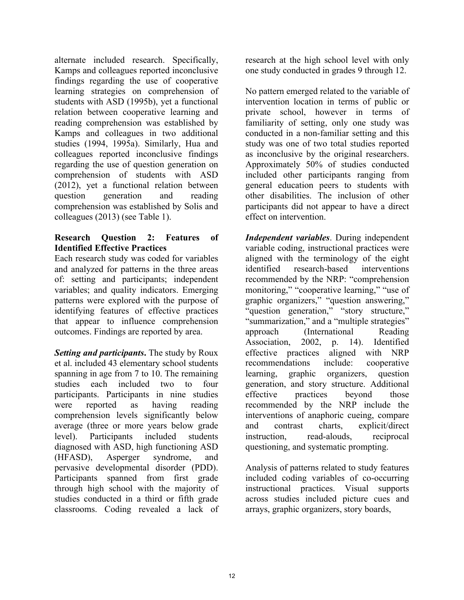alternate included research. Specifically, Kamps and colleagues reported inconclusive findings regarding the use of cooperative learning strategies on comprehension of students with ASD (1995b), yet a functional relation between cooperative learning and reading comprehension was established by Kamps and colleagues in two additional studies (1994, 1995a). Similarly, Hua and colleagues reported inconclusive findings regarding the use of question generation on comprehension of students with ASD (2012), yet a functional relation between question generation and reading comprehension was established by Solis and colleagues (2013) (see Table 1).

## **Research Question 2: Features of Identified Effective Practices**

Each research study was coded for variables and analyzed for patterns in the three areas of: setting and participants; independent variables; and quality indicators. Emerging patterns were explored with the purpose of identifying features of effective practices that appear to influence comprehension outcomes. Findings are reported by area.

*Setting and participants***.** The study by Roux et al. included 43 elementary school students spanning in age from 7 to 10. The remaining studies each included two to four participants. Participants in nine studies were reported as having reading comprehension levels significantly below average (three or more years below grade level). Participants included students diagnosed with ASD, high functioning ASD (HFASD), Asperger syndrome, and pervasive developmental disorder (PDD). Participants spanned from first grade through high school with the majority of studies conducted in a third or fifth grade classrooms. Coding revealed a lack of research at the high school level with only one study conducted in grades 9 through 12.

No pattern emerged related to the variable of intervention location in terms of public or private school, however in terms of familiarity of setting, only one study was conducted in a non-familiar setting and this study was one of two total studies reported as inconclusive by the original researchers. Approximately 50% of studies conducted included other participants ranging from general education peers to students with other disabilities. The inclusion of other participants did not appear to have a direct effect on intervention.

*Independent variables*. During independent variable coding, instructional practices were aligned with the terminology of the eight identified research-based interventions recommended by the NRP: "comprehension monitoring," "cooperative learning," "use of graphic organizers," "question answering," "question generation," "story structure," "summarization," and a "multiple strategies" approach (International Reading Association, 2002, p. 14). Identified effective practices aligned with NRP recommendations include: cooperative learning, graphic organizers, question generation, and story structure. Additional effective practices beyond those recommended by the NRP include the interventions of anaphoric cueing, compare and contrast charts, explicit/direct instruction, read-alouds, reciprocal questioning, and systematic prompting.

Analysis of patterns related to study features included coding variables of co-occurring instructional practices. Visual supports across studies included picture cues and arrays, graphic organizers, story boards,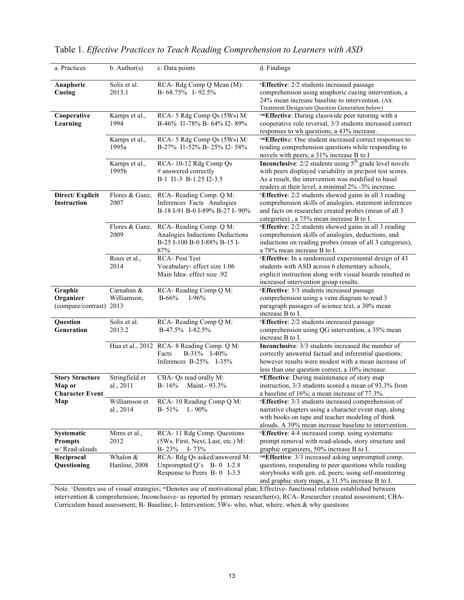| a. Practices                                               | $b.$ Author(s)              | c. Data points                                                                                   | d. Findings                                                                                                                                                                                                                                  |
|------------------------------------------------------------|-----------------------------|--------------------------------------------------------------------------------------------------|----------------------------------------------------------------------------------------------------------------------------------------------------------------------------------------------------------------------------------------------|
| Anaphoric<br>Cueing                                        | Solis et al.<br>2013.1      | RCA-Rdg Comp Q Mean (M):<br>B-68.75% I-92.5%                                                     | vEffective: 2/2 students increased passage<br>comprehension using anaphoric cueing intervention, a<br>24% mean increase baseline to intervention. (Alt.<br>Treatment Design/see Question Generation below)                                   |
| Cooperative<br>Learning                                    | Kamps et al.,<br>1994       | RCA-5 Rdg Comp Qs (5Ws) M:<br>B-46% I1-78% B-64% I2-89%                                          | vmEffective: During classwide peer tutoring with a<br>cooperative role reversal, 3/3 students increased correct<br>responses to wh questions, a 43% increase.                                                                                |
|                                                            | Kamps et al.,<br>1995a      | RCA-5 Rdg Comp Qs (5Ws) M:<br>B-27% I1-52% B-25% I2-58%                                          | vmEffective: One student increased correct responses to<br>reading comprehension questions while responding to<br>novels with peers, a 31% increase B to I                                                                                   |
|                                                            | Kamps et al.,<br>1995b      | RCA-10-12 Rdg Comp Qs<br># answered correctly<br>B-1 I1-3 B-1.25 I2-3.5                          | <b>Inconclusive:</b> $2/2$ students using $5th$ grade level novels<br>with peers displayed variability in pre/post test scores.<br>As a result, the intervention was modified to basal<br>readers at their level, a minimal 2% -3% increase. |
| Direct/Explicit<br><b>Instruction</b>                      | Flores & Ganz,<br>2007      | RCA-Reading Comp. Q M:<br>Inferences Facts Analogies<br>B-18 I-91 B-0 I-89% B-27 I-90%           | vEffective: 2/2 students showed gains in all 3 reading<br>comprehension skills of analogies, statement inferences<br>and facts on researcher created probes (mean of all 3<br>categories), a 75% mean increase B to I.                       |
|                                                            | Flores & Ganz,<br>2009      | RCA-Reading Comp. Q M:<br>Analogies Inductions Deductions<br>B-25 I-100 B-0 I-88% B-15 I-<br>87% | vEffective: 2/2 students showed gains in all 3 reading<br>comprehension skills of analogies, deductions, and<br>inductions on reading probes (mean of all 3 categories),<br>a 78% mean increase B to I.                                      |
|                                                            | Roux et al.,<br>2014        | RCA-Post Test<br>Vocabulary- effect size 1.06<br>Main Idea- effect size .92                      | vEffective: In a randomized experimental design of 43<br>students with ASD across 6 elementary schools,<br>explicit instruction along with visual boards resulted in<br>increased intervention group results.                                |
| Graphic<br>Organizer<br>(compare/contrast) 2013            | Carnahan &<br>Williamson,   | RCA-Reading Comp Q M:<br>$B - 66%$<br>$I-96%$                                                    | vEffective: 3/3 students increased passage<br>comprehension using a venn diagram to read 3<br>paragraph passages of science text, a 30% mean<br>increase B to I.                                                                             |
| Question<br>Generation                                     | Solis et al.<br>2013.2      | RCA-Reading Comp Q M:<br>B-47.5% I-82.5%                                                         | vEffective: 2/2 students increased passage<br>comprehension using QG intervention, a 35% mean<br>increase B to I.                                                                                                                            |
|                                                            |                             | Hua et al., 2012 RCA-8 Reading Comp. Q M:<br>B-31% I-40%<br>Facts<br>Inferences $B-25%$ I-35%    | Inconclusive: 3/3 students increased the number of<br>correctly answered factual and inferential questions;<br>however results were modest with a mean increase of<br>less than one question correct, a 10% increase.                        |
| <b>Story Structure</b><br>Map or<br><b>Character Event</b> | Stringfield et<br>al., 2011 | CBA- Qs read orally M:<br>$B - 16%$<br>Maint.- 93.3%                                             | mEffective: During maintenance of story map<br>instruction, 3/3 students scored a mean of 93.3% from<br>a baseline of 16%; a mean increase of 77.3%.                                                                                         |
| Map                                                        | Williamson et<br>al., 2014  | RCA-10 Reading Comp Q M:<br>B-51% I.-90%                                                         | vEffective: 3/3 students increased comprehension of<br>narrative chapters using a character event map, along<br>with books on tape and teacher modeling of think<br>alouds. A 39% mean increase baseline to intervention.                    |
| Systematic<br><b>Prompts</b><br>w/ Read-alouds             | Mims et al.,<br>2012        | RCA-11 Rdg Comp. Questions<br>(5Ws, First, Next, Last, etc.) M:<br>$B - 23\%$<br>I- 73%          | vEffective: 4/4 increased comp. using systematic<br>prompt removal with read-alouds, story structure and<br>graphic organizers, 50% increase B to I.                                                                                         |
| Reciprocal<br>Questioning                                  | Whalon &<br>Hanline, 2008   | RCA-Rdg Qs asked/answered M:<br>Unprompted $Q$ 's B-0 I-2.8<br>Response to Peers B-0 I-3.5       | vmEffective: 3/3 increased asking unprompted comp.<br>questions, responding to peer questions while reading<br>storybooks with gen. ed. peers; using self-monitoring<br>and graphic story maps, a 31.5% increase B to I.                     |

| Table 1. Effective Practices to Teach Reading Comprehension to Learners with ASD |  |  |
|----------------------------------------------------------------------------------|--|--|
|----------------------------------------------------------------------------------|--|--|

Note. *V*Denotes use of visual strategies; <sup>m</sup>Denotes use of motivational plan; Effective- functional relation established between intervention & comprehension; Inconclusive- as reported by primary researcher(s); RCA- Researcher created assessment; CBA-Curriculum based assessment; B- Baseline; I- Intervention; 5Ws- who, what, where, when & why questions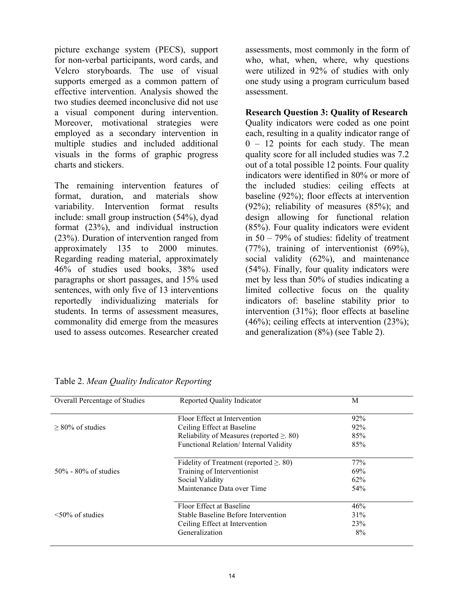picture exchange system (PECS), support for non-verbal participants, word cards, and Velcro storyboards. The use of visual supports emerged as a common pattern of effective intervention. Analysis showed the two studies deemed inconclusive did not use a visual component during intervention. Moreover, motivational strategies were employed as a secondary intervention in multiple studies and included additional visuals in the forms of graphic progress charts and stickers.

The remaining intervention features of format, duration, and materials show variability. Intervention format results include: small group instruction (54%), dyad format (23%), and individual instruction (23%). Duration of intervention ranged from approximately 135 to 2000 minutes. Regarding reading material, approximately 46% of studies used books, 38% used paragraphs or short passages, and 15% used sentences, with only five of 13 interventions reportedly individualizing materials for students. In terms of assessment measures, commonality did emerge from the measures used to assess outcomes. Researcher created assessments, most commonly in the form of who, what, when, where, why questions were utilized in 92% of studies with only one study using a program curriculum based assessment.

**Research Question 3: Quality of Research** Quality indicators were coded as one point each, resulting in a quality indicator range of  $0 - 12$  points for each study. The mean quality score for all included studies was 7.2 out of a total possible 12 points. Four quality indicators were identified in 80% or more of the included studies: ceiling effects at baseline (92%); floor effects at intervention (92%); reliability of measures (85%); and design allowing for functional relation (85%). Four quality indicators were evident in 50 – 79% of studies: fidelity of treatment (77%), training of interventionist (69%), social validity (62%), and maintenance (54%). Finally, four quality indicators were met by less than 50% of studies indicating a limited collective focus on the quality indicators of: baseline stability prior to intervention (31%); floor effects at baseline  $(46\%)$ ; ceiling effects at intervention  $(23\%)$ ; and generalization (8%) (see Table 2).

| <b>Overall Percentage of Studies</b> | Reported Quality Indicator                     | M   |  |
|--------------------------------------|------------------------------------------------|-----|--|
|                                      | Floor Effect at Intervention                   | 92% |  |
| $> 80\%$ of studies                  | Ceiling Effect at Baseline                     | 92% |  |
|                                      | Reliability of Measures (reported $\geq$ . 80) | 85% |  |
|                                      | Functional Relation/ Internal Validity         | 85% |  |
|                                      | Fidelity of Treatment (reported $\geq$ . 80)   | 77% |  |
| $50\%$ - 80% of studies              | Training of Interventionist                    | 69% |  |
|                                      | Social Validity                                | 62% |  |
|                                      | Maintenance Data over Time                     | 54% |  |
|                                      | Floor Effect at Baseline                       | 46% |  |
| $\leq 50\%$ of studies               | Stable Baseline Before Intervention            | 31% |  |
|                                      | Ceiling Effect at Intervention                 | 23% |  |
|                                      | Generalization                                 | 8%  |  |

Table 2. *Mean Quality Indicator Reporting*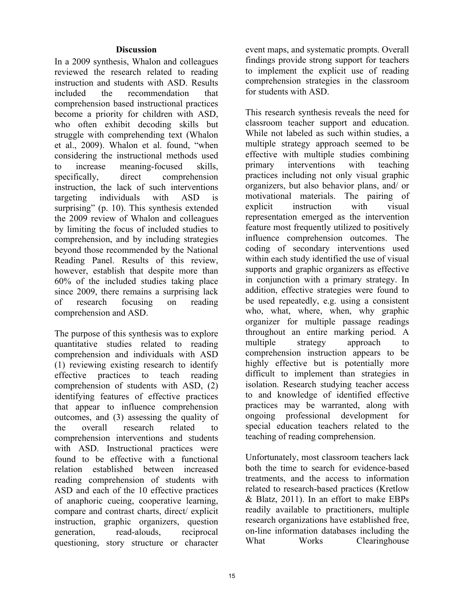#### **Discussion**

In a 2009 synthesis, Whalon and colleagues reviewed the research related to reading instruction and students with ASD. Results included the recommendation that comprehension based instructional practices become a priority for children with ASD, who often exhibit decoding skills but struggle with comprehending text (Whalon et al., 2009). Whalon et al. found, "when considering the instructional methods used to increase meaning-focused skills, specifically, direct comprehension instruction, the lack of such interventions targeting individuals with ASD is surprising" (p. 10). This synthesis extended the 2009 review of Whalon and colleagues by limiting the focus of included studies to comprehension, and by including strategies beyond those recommended by the National Reading Panel. Results of this review, however, establish that despite more than 60% of the included studies taking place since 2009, there remains a surprising lack of research focusing on reading comprehension and ASD.

The purpose of this synthesis was to explore quantitative studies related to reading comprehension and individuals with ASD (1) reviewing existing research to identify effective practices to teach reading comprehension of students with ASD, (2) identifying features of effective practices that appear to influence comprehension outcomes, and (3) assessing the quality of the overall research related to comprehension interventions and students with ASD. Instructional practices were found to be effective with a functional relation established between increased reading comprehension of students with ASD and each of the 10 effective practices of anaphoric cueing, cooperative learning, compare and contrast charts, direct/ explicit instruction, graphic organizers, question generation, read-alouds, reciprocal questioning, story structure or character

event maps, and systematic prompts. Overall findings provide strong support for teachers to implement the explicit use of reading comprehension strategies in the classroom for students with ASD.

This research synthesis reveals the need for classroom teacher support and education. While not labeled as such within studies, a multiple strategy approach seemed to be effective with multiple studies combining primary interventions with teaching practices including not only visual graphic organizers, but also behavior plans, and/ or motivational materials. The pairing of explicit instruction with visual representation emerged as the intervention feature most frequently utilized to positively influence comprehension outcomes. The coding of secondary interventions used within each study identified the use of visual supports and graphic organizers as effective in conjunction with a primary strategy. In addition, effective strategies were found to be used repeatedly, e.g. using a consistent who, what, where, when, why graphic organizer for multiple passage readings throughout an entire marking period. A multiple strategy approach to comprehension instruction appears to be highly effective but is potentially more difficult to implement than strategies in isolation. Research studying teacher access to and knowledge of identified effective practices may be warranted, along with ongoing professional development for special education teachers related to the teaching of reading comprehension.

Unfortunately, most classroom teachers lack both the time to search for evidence-based treatments, and the access to information related to research-based practices (Kretlow & Blatz, 2011). In an effort to make EBPs readily available to practitioners, multiple research organizations have established free, on-line information databases including the What Works Clearinghouse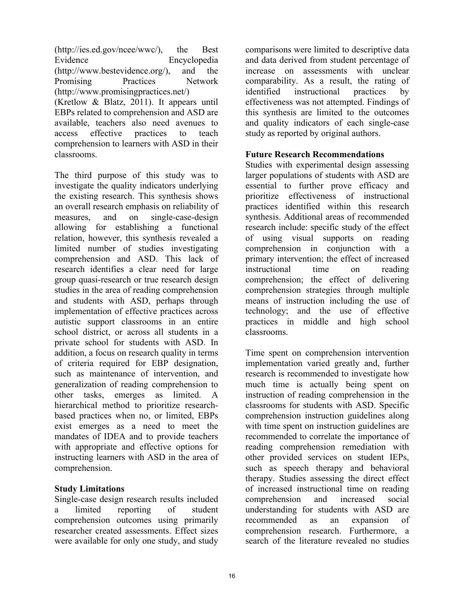(http://ies.ed.gov/ncee/wwc/), the Best Evidence Encyclopedia (http://www.bestevidence.org/), and the Promising Practices Network (http://www.promisingpractices.net/) (Kretlow & Blatz, 2011). It appears until EBPs related to comprehension and ASD are available, teachers also need avenues to access effective practices to teach comprehension to learners with ASD in their classrooms.

The third purpose of this study was to investigate the quality indicators underlying the existing research. This synthesis shows an overall research emphasis on reliability of measures, and on single-case-design allowing for establishing a functional relation, however, this synthesis revealed a limited number of studies investigating comprehension and ASD. This lack of research identifies a clear need for large group quasi-research or true research design studies in the area of reading comprehension and students with ASD, perhaps through implementation of effective practices across autistic support classrooms in an entire school district, or across all students in a private school for students with ASD. In addition, a focus on research quality in terms of criteria required for EBP designation, such as maintenance of intervention, and generalization of reading comprehension to other tasks, emerges as limited. A hierarchical method to prioritize researchbased practices when no, or limited, EBPs exist emerges as a need to meet the mandates of IDEA and to provide teachers with appropriate and effective options for instructing learners with ASD in the area of comprehension.

#### **Study Limitations**

Single-case design research results included a limited reporting of student comprehension outcomes using primarily researcher created assessments. Effect sizes were available for only one study, and study

comparisons were limited to descriptive data and data derived from student percentage of increase on assessments with unclear comparability. As a result, the rating of identified instructional practices by effectiveness was not attempted. Findings of this synthesis are limited to the outcomes and quality indicators of each single-case study as reported by original authors.

#### **Future Research Recommendations**

Studies with experimental design assessing larger populations of students with ASD are essential to further prove efficacy and prioritize effectiveness of instructional practices identified within this research synthesis. Additional areas of recommended research include: specific study of the effect of using visual supports on reading comprehension in conjunction with a primary intervention; the effect of increased instructional time on reading comprehension; the effect of delivering comprehension strategies through multiple means of instruction including the use of technology; and the use of effective practices in middle and high school classrooms.

Time spent on comprehension intervention implementation varied greatly and, further research is recommended to investigate how much time is actually being spent on instruction of reading comprehension in the classrooms for students with ASD. Specific comprehension instruction guidelines along with time spent on instruction guidelines are recommended to correlate the importance of reading comprehension remediation with other provided services on student IEPs, such as speech therapy and behavioral therapy. Studies assessing the direct effect of increased instructional time on reading comprehension and increased social understanding for students with ASD are recommended as an expansion of comprehension research. Furthermore, a search of the literature revealed no studies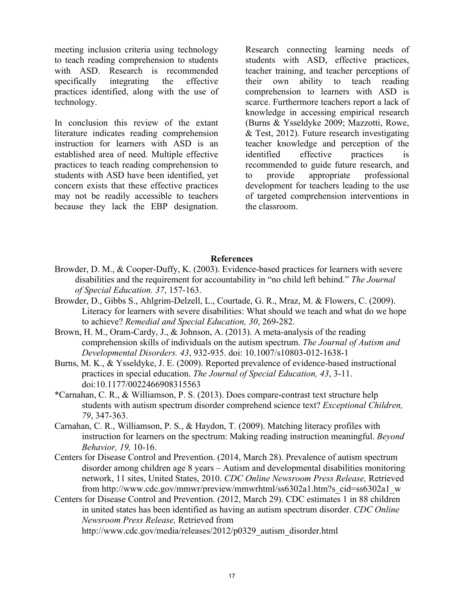meeting inclusion criteria using technology to teach reading comprehension to students with ASD. Research is recommended specifically integrating the effective practices identified, along with the use of technology.

In conclusion this review of the extant literature indicates reading comprehension instruction for learners with ASD is an established area of need. Multiple effective practices to teach reading comprehension to students with ASD have been identified, yet concern exists that these effective practices may not be readily accessible to teachers because they lack the EBP designation. Research connecting learning needs of students with ASD, effective practices, teacher training, and teacher perceptions of their own ability to teach reading comprehension to learners with ASD is scarce. Furthermore teachers report a lack of knowledge in accessing empirical research (Burns & Ysseldyke 2009; Mazzotti, Rowe, & Test, 2012). Future research investigating teacher knowledge and perception of the identified effective practices is recommended to guide future research, and to provide appropriate professional development for teachers leading to the use of targeted comprehension interventions in the classroom.

#### **References**

- Browder, D. M., & Cooper-Duffy, K. (2003). Evidence-based practices for learners with severe disabilities and the requirement for accountability in "no child left behind." *The Journal of Special Education. 37*, 157-163.
- Browder, D., Gibbs S., Ahlgrim-Delzell, L., Courtade, G. R., Mraz, M. & Flowers, C. (2009). Literacy for learners with severe disabilities: What should we teach and what do we hope to achieve? *Remedial and Special Education, 30*, 269-282.
- Brown, H. M., Oram-Cardy, J., & Johnson, A. (2013). A meta-analysis of the reading comprehension skills of individuals on the autism spectrum. *The Journal of Autism and Developmental Disorders. 43*, 932-935. doi: 10.1007/s10803-012-1638-1
- Burns, M. K., & Ysseldyke, J. E. (2009). Reported prevalence of evidence-based instructional practices in special education. *The Journal of Special Education, 43*, 3-11. doi:10.1177/0022466908315563
- \*Carnahan, C. R., & Williamson, P. S. (2013). Does compare-contrast text structure help students with autism spectrum disorder comprehend science text? *Exceptional Children, 79*, 347-363.
- Carnahan, C. R., Williamson, P. S., & Haydon, T. (2009). Matching literacy profiles with instruction for learners on the spectrum: Making reading instruction meaningful. *Beyond Behavior, 19,* 10-16.
- Centers for Disease Control and Prevention. (2014, March 28). Prevalence of autism spectrum disorder among children age 8 years – Autism and developmental disabilities monitoring network, 11 sites, United States, 2010. *CDC Online Newsroom Press Release,* Retrieved from http://www.cdc.gov/mmwr/preview/mmwrhtml/ss6302a1.htm?s\_cid=ss6302a1\_w
- Centers for Disease Control and Prevention. (2012, March 29). CDC estimates 1 in 88 children in united states has been identified as having an autism spectrum disorder. *CDC Online Newsroom Press Release,* Retrieved from http://www.cdc.gov/media/releases/2012/p0329\_autism\_disorder.html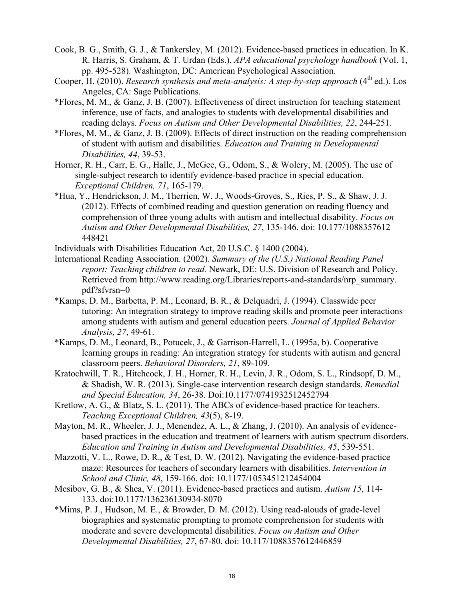- Cook, B. G., Smith, G. J., & Tankersley, M. (2012). Evidence-based practices in education. In K. R. Harris, S. Graham, & T. Urdan (Eds.), *APA educational psychology handbook* (Vol. 1, pp. 495-528). Washington, DC: American Psychological Association.
- Cooper, H. (2010). *Research synthesis and meta-analysis: A step-by-step approach* (4<sup>th</sup> ed.). Los Angeles, CA: Sage Publications.
- \*Flores, M. M., & Ganz, J. B. (2007). Effectiveness of direct instruction for teaching statement inference, use of facts, and analogies to students with developmental disabilities and reading delays. *Focus on Autism and Other Developmental Disabilities, 22*, 244-251.
- \*Flores, M. M., & Ganz, J. B. (2009). Effects of direct instruction on the reading comprehension of student with autism and disabilities. *Education and Training in Developmental Disabilities, 44*, 39-53.
- Horner, R. H., Carr, E. G., Halle, J., McGee, G., Odom, S., & Wolery, M. (2005). The use of single-subject research to identify evidence-based practice in special education.  *Exceptional Children, 71*, 165-179.
- \*Hua, Y., Hendrickson, J. M., Therrien, W. J., Woods-Groves, S., Ries, P. S., & Shaw, J. J. (2012). Effects of combined reading and question generation on reading fluency and comprehension of three young adults with autism and intellectual disability. *Focus on Autism and Other Developmental Disabilities, 27*, 135-146. doi: 10.177/1088357612 448421
- Individuals with Disabilities Education Act, 20 U.S.C. § 1400 (2004).
- International Reading Association. (2002). *Summary of the (U.S.) National Reading Panel report: Teaching children to read.* Newark, DE: U.S. Division of Research and Policy. Retrieved from http://www.reading.org/Libraries/reports-and-standards/nrp\_summary. pdf?sfvrsn=0
- \*Kamps, D. M., Barbetta, P. M., Leonard, B. R., & Delquadri, J. (1994). Classwide peer tutoring: An integration strategy to improve reading skills and promote peer interactions among students with autism and general education peers. *Journal of Applied Behavior Analysis, 27*, 49-61.
- \*Kamps, D. M., Leonard, B., Potucek, J., & Garrison-Harrell, L. (1995a, b). Cooperative learning groups in reading: An integration strategy for students with autism and general classroom peers. *Behavioral Disorders, 21*, 89-109.
- Kratochwill, T. R., Hitchcock, J. H., Horner, R. H., Levin, J. R., Odom, S. L., Rindsopf, D. M., & Shadish, W. R. (2013). Single-case intervention research design standards. *Remedial and Special Education, 34*, 26-38. Doi:10.1177/0741932512452794
- Kretlow, A. G., & Blatz, S. L. (2011). The ABCs of evidence-based practice for teachers. *Teaching Exceptional Children, 43*(5), 8-19.
- Mayton, M. R., Wheeler, J. J., Menendez, A. L., & Zhang, J. (2010). An analysis of evidence based practices in the education and treatment of learners with autism spectrum disorders. *Education and Training in Autism and Developmental Disabilities, 45*, 539-551.
- Mazzotti, V. L., Rowe, D. R., & Test, D. W. (2012). Navigating the evidence-based practice maze: Resources for teachers of secondary learners with disabilities. *Intervention in School and Clinic, 48*, 159-166. doi: 10.1177/1053451212454004
- Mesibov, G. B., & Shea, V. (2011). Evidence-based practices and autism. *Autism 15*, 114- 133. doi:10.1177/136236130934-8070
- \*Mims, P. J., Hudson, M. E., & Browder, D. M. (2012). Using read-alouds of grade-level biographies and systematic prompting to promote comprehension for students with moderate and severe developmental disabilities. *Focus on Autism and Other Developmental Disabilities, 27*, 67-80. doi: 10.117/1088357612446859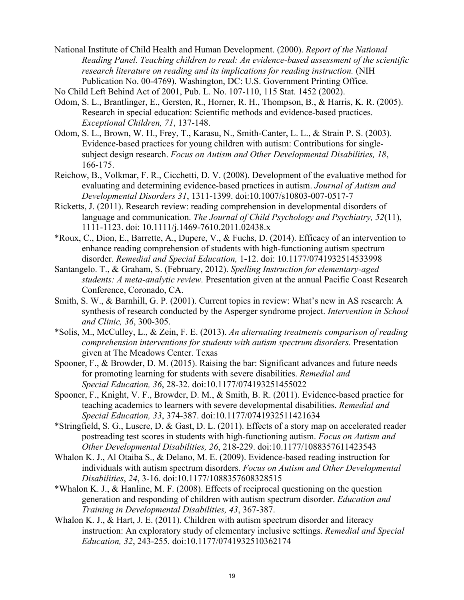- National Institute of Child Health and Human Development. (2000). *Report of the National Reading Panel. Teaching children to read: An evidence-based assessment of the scientific research literature on reading and its implications for reading instruction.* (NIH Publication No. 00-4769). Washington, DC: U.S. Government Printing Office.
- No Child Left Behind Act of 2001, Pub. L. No. 107-110, 115 Stat. 1452 (2002).
- Odom, S. L., Brantlinger, E., Gersten, R., Horner, R. H., Thompson, B., & Harris, K. R. (2005). Research in special education: Scientific methods and evidence-based practices.  *Exceptional Children, 71*, 137-148.
- Odom, S. L., Brown, W. H., Frey, T., Karasu, N., Smith-Canter, L. L., & Strain P. S. (2003). Evidence-based practices for young children with autism: Contributions for single subject design research. *Focus on Autism and Other Developmental Disabilities, 18*, 166-175.
- Reichow, B., Volkmar, F. R., Cicchetti, D. V. (2008). Development of the evaluative method for evaluating and determining evidence-based practices in autism. *Journal of Autism and Developmental Disorders 31*, 1311-1399. doi:10.1007/s10803-007-0517-7
- Ricketts, J. (2011). Research review: reading comprehension in developmental disorders of language and communication. *The Journal of Child Psychology and Psychiatry, 52*(11), 1111-1123. doi: 10.1111/j.1469-7610.2011.02438.x
- \*Roux, C., Dion, E., Barrette, A., Dupere, V., & Fuchs, D. (2014). Efficacy of an intervention to enhance reading comprehension of students with high-functioning autism spectrum disorder. *Remedial and Special Education,* 1-12. doi: 10.1177/0741932514533998
- Santangelo. T., & Graham, S. (February, 2012). *Spelling Instruction for elementary-aged students: A meta-analytic review.* Presentation given at the annual Pacific Coast Research Conference, Coronado, CA.
- Smith, S. W., & Barnhill, G. P. (2001). Current topics in review: What's new in AS research: A synthesis of research conducted by the Asperger syndrome project. *Intervention in School and Clinic, 36*, 300-305.
- \*Solis, M., McCulley, L., & Zein, F. E. (2013). *An alternating treatments comparison of reading comprehension interventions for students with autism spectrum disorders.* Presentation given at The Meadows Center. Texas
- Spooner, F., & Browder, D. M. (2015). Raising the bar: Significant advances and future needs for promoting learning for students with severe disabilities. *Remedial and Special Education, 36*, 28-32. doi:10.1177/074193251455022
- Spooner, F., Knight, V. F., Browder, D. M., & Smith, B. R. (2011). Evidence-based practice for teaching academics to learners with severe developmental disabilities. *Remedial and Special Education, 33*, 374-387. doi:10.1177/0741932511421634
- \*Stringfield, S. G., Luscre, D. & Gast, D. L. (2011). Effects of a story map on accelerated reader postreading test scores in students with high-functioning autism. *Focus on Autism and Other Developmental Disabilities, 26*, 218-229. doi:10.1177/1088357611423543
- Whalon K. J., Al Otaiba S., & Delano, M. E. (2009). Evidence-based reading instruction for individuals with autism spectrum disorders. *Focus on Autism and Other Developmental Disabilities*, *24*, 3-16. doi:10.1177/1088357608328515
- \*Whalon K. J., & Hanline, M. F. (2008). Effects of reciprocal questioning on the question generation and responding of children with autism spectrum disorder. *Education and Training in Developmental Disabilities, 43*, 367-387.
- Whalon K. J., & Hart, J. E. (2011). Children with autism spectrum disorder and literacy instruction: An exploratory study of elementary inclusive settings. *Remedial and Special Education, 32*, 243-255. doi:10.1177/0741932510362174